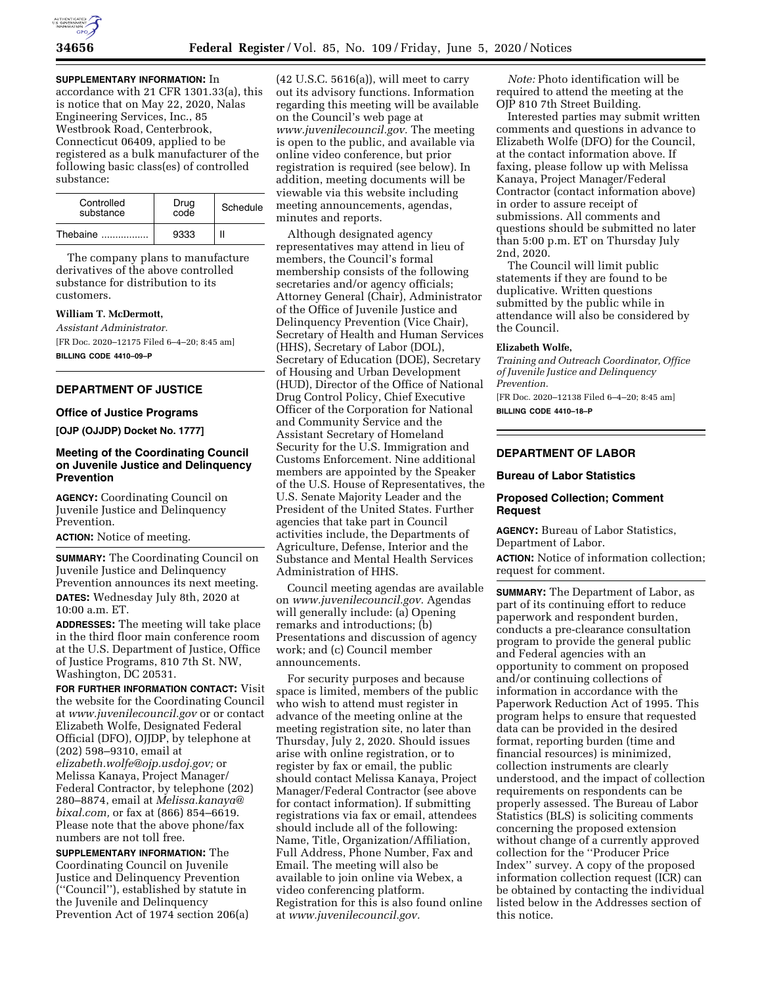**SUPPLEMENTARY INFORMATION:** In

accordance with 21 CFR 1301.33(a), this is notice that on May 22, 2020, Nalas Engineering Services, Inc., 85 Westbrook Road, Centerbrook, Connecticut 06409, applied to be registered as a bulk manufacturer of the following basic class(es) of controlled substance:

| Controlled<br>substance | Drug<br>code | Schedule |  |
|-------------------------|--------------|----------|--|
| Thebaine                | 9333         |          |  |

The company plans to manufacture derivatives of the above controlled substance for distribution to its customers.

## **William T. McDermott,**

*Assistant Administrator.* 

[FR Doc. 2020–12175 Filed 6–4–20; 8:45 am]

**BILLING CODE 4410–09–P** 

# **DEPARTMENT OF JUSTICE**

### **Office of Justice Programs**

**[OJP (OJJDP) Docket No. 1777]** 

## **Meeting of the Coordinating Council on Juvenile Justice and Delinquency Prevention**

**AGENCY:** Coordinating Council on Juvenile Justice and Delinquency Prevention.

**ACTION:** Notice of meeting.

**SUMMARY:** The Coordinating Council on Juvenile Justice and Delinquency Prevention announces its next meeting. **DATES:** Wednesday July 8th, 2020 at 10:00 a.m. ET.

**ADDRESSES:** The meeting will take place in the third floor main conference room at the U.S. Department of Justice, Office of Justice Programs, 810 7th St. NW, Washington, DC 20531.

**FOR FURTHER INFORMATION CONTACT:** Visit the website for the Coordinating Council at *[www.juvenilecouncil.gov](http://www.juvenilecouncil.gov)* or or contact Elizabeth Wolfe, Designated Federal Official (DFO), OJJDP, by telephone at (202) 598–9310, email at *[elizabeth.wolfe@ojp.usdoj.gov;](mailto:elizabeth.wolfe@ojp.usdoj.gov)* or Melissa Kanaya, Project Manager/ Federal Contractor, by telephone (202) 280–8874, email at *[Melissa.kanaya@](mailto:Melissa.kanaya@bixal.com) [bixal.com,](mailto:Melissa.kanaya@bixal.com)* or fax at (866) 854–6619. Please note that the above phone/fax numbers are not toll free.

**SUPPLEMENTARY INFORMATION:** The Coordinating Council on Juvenile Justice and Delinquency Prevention (''Council''), established by statute in the Juvenile and Delinquency Prevention Act of 1974 section 206(a)

(42 U.S.C. 5616(a)), will meet to carry out its advisory functions. Information regarding this meeting will be available on the Council's web page at *[www.juvenilecouncil.gov.](http://www.juvenilecouncil.gov)* The meeting is open to the public, and available via online video conference, but prior registration is required (see below). In addition, meeting documents will be viewable via this website including meeting announcements, agendas, minutes and reports.

Although designated agency representatives may attend in lieu of members, the Council's formal membership consists of the following secretaries and/or agency officials; Attorney General (Chair), Administrator of the Office of Juvenile Justice and Delinquency Prevention (Vice Chair), Secretary of Health and Human Services (HHS), Secretary of Labor (DOL), Secretary of Education (DOE), Secretary of Housing and Urban Development (HUD), Director of the Office of National Drug Control Policy, Chief Executive Officer of the Corporation for National and Community Service and the Assistant Secretary of Homeland Security for the U.S. Immigration and Customs Enforcement. Nine additional members are appointed by the Speaker of the U.S. House of Representatives, the U.S. Senate Majority Leader and the President of the United States. Further agencies that take part in Council activities include, the Departments of Agriculture, Defense, Interior and the Substance and Mental Health Services Administration of HHS.

Council meeting agendas are available on *[www.juvenilecouncil.gov.](http://www.juvenilecouncil.gov)* Agendas will generally include: (a) Opening remarks and introductions; (b) Presentations and discussion of agency work; and (c) Council member announcements.

For security purposes and because space is limited, members of the public who wish to attend must register in advance of the meeting online at the meeting registration site, no later than Thursday, July 2, 2020. Should issues arise with online registration, or to register by fax or email, the public should contact Melissa Kanaya, Project Manager/Federal Contractor (see above for contact information). If submitting registrations via fax or email, attendees should include all of the following: Name, Title, Organization/Affiliation, Full Address, Phone Number, Fax and Email. The meeting will also be available to join online via Webex, a video conferencing platform. Registration for this is also found online at *[www.juvenilecouncil.gov.](http://www.juvenilecouncil.gov)* 

*Note:* Photo identification will be required to attend the meeting at the OJP 810 7th Street Building.

Interested parties may submit written comments and questions in advance to Elizabeth Wolfe (DFO) for the Council, at the contact information above. If faxing, please follow up with Melissa Kanaya, Project Manager/Federal Contractor (contact information above) in order to assure receipt of submissions. All comments and questions should be submitted no later than 5:00 p.m. ET on Thursday July 2nd, 2020.

The Council will limit public statements if they are found to be duplicative. Written questions submitted by the public while in attendance will also be considered by the Council.

### **Elizabeth Wolfe,**

*Training and Outreach Coordinator, Office of Juvenile Justice and Delinquency Prevention.* 

[FR Doc. 2020–12138 Filed 6–4–20; 8:45 am] **BILLING CODE 4410–18–P** 

## **DEPARTMENT OF LABOR**

### **Bureau of Labor Statistics**

## **Proposed Collection; Comment Request**

**AGENCY:** Bureau of Labor Statistics, Department of Labor.

**ACTION:** Notice of information collection; request for comment.

**SUMMARY:** The Department of Labor, as part of its continuing effort to reduce paperwork and respondent burden, conducts a pre-clearance consultation program to provide the general public and Federal agencies with an opportunity to comment on proposed and/or continuing collections of information in accordance with the Paperwork Reduction Act of 1995. This program helps to ensure that requested data can be provided in the desired format, reporting burden (time and financial resources) is minimized, collection instruments are clearly understood, and the impact of collection requirements on respondents can be properly assessed. The Bureau of Labor Statistics (BLS) is soliciting comments concerning the proposed extension without change of a currently approved collection for the ''Producer Price Index'' survey. A copy of the proposed information collection request (ICR) can be obtained by contacting the individual listed below in the Addresses section of this notice.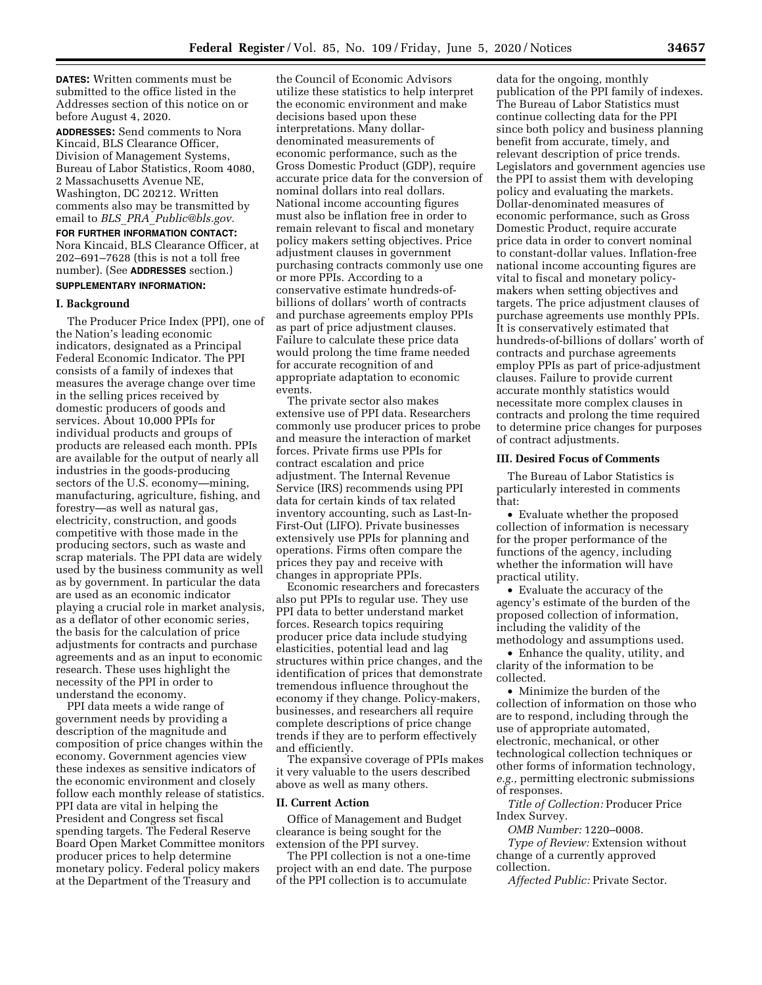**DATES:** Written comments must be submitted to the office listed in the Addresses section of this notice on or before August 4, 2020.

**ADDRESSES:** Send comments to Nora Kincaid, BLS Clearance Officer, Division of Management Systems, Bureau of Labor Statistics, Room 4080, 2 Massachusetts Avenue NE, Washington, DC 20212. Written comments also may be transmitted by email to *BLS*\_*PRA*\_*[Public@bls.gov.](mailto:BLS_PRA_Public@bls.gov)* 

## **FOR FURTHER INFORMATION CONTACT:**  Nora Kincaid, BLS Clearance Officer, at 202–691–7628 (this is not a toll free number). (See **ADDRESSES** section.)

## **SUPPLEMENTARY INFORMATION:**

### **I. Background**

The Producer Price Index (PPI), one of the Nation's leading economic indicators, designated as a Principal Federal Economic Indicator. The PPI consists of a family of indexes that measures the average change over time in the selling prices received by domestic producers of goods and services. About 10,000 PPIs for individual products and groups of products are released each month. PPIs are available for the output of nearly all industries in the goods-producing sectors of the U.S. economy—mining, manufacturing, agriculture, fishing, and forestry—as well as natural gas, electricity, construction, and goods competitive with those made in the producing sectors, such as waste and scrap materials. The PPI data are widely used by the business community as well as by government. In particular the data are used as an economic indicator playing a crucial role in market analysis, as a deflator of other economic series, the basis for the calculation of price adjustments for contracts and purchase agreements and as an input to economic research. These uses highlight the necessity of the PPI in order to understand the economy.

PPI data meets a wide range of government needs by providing a description of the magnitude and composition of price changes within the economy. Government agencies view these indexes as sensitive indicators of the economic environment and closely follow each monthly release of statistics. PPI data are vital in helping the President and Congress set fiscal spending targets. The Federal Reserve Board Open Market Committee monitors producer prices to help determine monetary policy. Federal policy makers at the Department of the Treasury and

the Council of Economic Advisors utilize these statistics to help interpret the economic environment and make decisions based upon these interpretations. Many dollardenominated measurements of economic performance, such as the Gross Domestic Product (GDP), require accurate price data for the conversion of nominal dollars into real dollars. National income accounting figures must also be inflation free in order to remain relevant to fiscal and monetary policy makers setting objectives. Price adjustment clauses in government purchasing contracts commonly use one or more PPIs. According to a conservative estimate hundreds-ofbillions of dollars' worth of contracts and purchase agreements employ PPIs as part of price adjustment clauses. Failure to calculate these price data would prolong the time frame needed for accurate recognition of and appropriate adaptation to economic events.

The private sector also makes extensive use of PPI data. Researchers commonly use producer prices to probe and measure the interaction of market forces. Private firms use PPIs for contract escalation and price adjustment. The Internal Revenue Service (IRS) recommends using PPI data for certain kinds of tax related inventory accounting, such as Last-In-First-Out (LIFO). Private businesses extensively use PPIs for planning and operations. Firms often compare the prices they pay and receive with changes in appropriate PPIs.

Economic researchers and forecasters also put PPIs to regular use. They use PPI data to better understand market forces. Research topics requiring producer price data include studying elasticities, potential lead and lag structures within price changes, and the identification of prices that demonstrate tremendous influence throughout the economy if they change. Policy-makers, businesses, and researchers all require complete descriptions of price change trends if they are to perform effectively and efficiently.

The expansive coverage of PPIs makes it very valuable to the users described above as well as many others.

#### **II. Current Action**

Office of Management and Budget clearance is being sought for the extension of the PPI survey.

The PPI collection is not a one-time project with an end date. The purpose of the PPI collection is to accumulate

data for the ongoing, monthly publication of the PPI family of indexes. The Bureau of Labor Statistics must continue collecting data for the PPI since both policy and business planning benefit from accurate, timely, and relevant description of price trends. Legislators and government agencies use the PPI to assist them with developing policy and evaluating the markets. Dollar-denominated measures of economic performance, such as Gross Domestic Product, require accurate price data in order to convert nominal to constant-dollar values. Inflation-free national income accounting figures are vital to fiscal and monetary policymakers when setting objectives and targets. The price adjustment clauses of purchase agreements use monthly PPIs. It is conservatively estimated that hundreds-of-billions of dollars' worth of contracts and purchase agreements employ PPIs as part of price-adjustment clauses. Failure to provide current accurate monthly statistics would necessitate more complex clauses in contracts and prolong the time required to determine price changes for purposes of contract adjustments.

### **III. Desired Focus of Comments**

The Bureau of Labor Statistics is particularly interested in comments that:

• Evaluate whether the proposed collection of information is necessary for the proper performance of the functions of the agency, including whether the information will have practical utility.

• Evaluate the accuracy of the agency's estimate of the burden of the proposed collection of information, including the validity of the methodology and assumptions used.

• Enhance the quality, utility, and clarity of the information to be collected.

• Minimize the burden of the collection of information on those who are to respond, including through the use of appropriate automated, electronic, mechanical, or other technological collection techniques or other forms of information technology, *e.g.,* permitting electronic submissions of responses.

*Title of Collection:* Producer Price Index Survey.

*OMB Number:* 1220–0008.

*Type of Review:* Extension without change of a currently approved collection.

*Affected Public:* Private Sector.